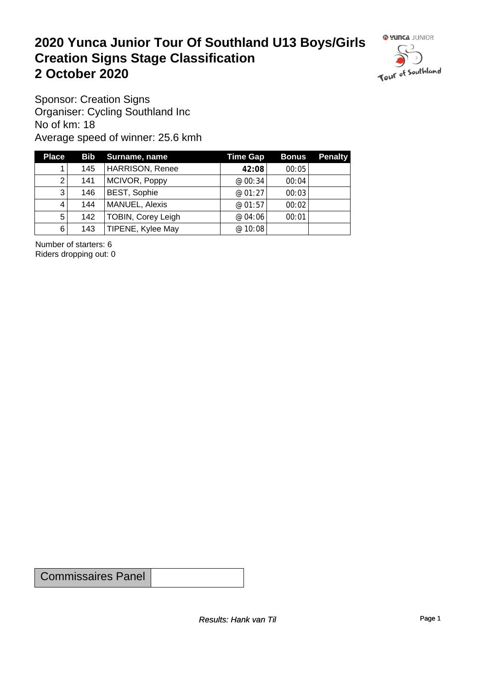#### **2020 Yunca Junior Tour Of Southland U13 Boys/Girls Creation Signs Stage Classification**<br>
2 October 2020 **2 October 2020**



Sponsor: Creation Signs Organiser: Cycling Southland Inc No of km: 18 Average speed of winner: 25.6 kmh

| <b>Place</b>   |     | <b>Bib</b> Surname, name  | <b>Time Gap</b> | Bonus | <b>Penalty</b> |
|----------------|-----|---------------------------|-----------------|-------|----------------|
|                | 145 | <b>HARRISON, Renee</b>    | 42:08           | 00:05 |                |
| 2              | 141 | MCIVOR, Poppy             | @00:34          | 00:04 |                |
| 3 <sub>l</sub> | 146 | BEST, Sophie              | @01:27          | 00:03 |                |
| 4              | 144 | MANUEL, Alexis            | @01:57          | 00:02 |                |
| 5 <sup>1</sup> | 142 | <b>TOBIN, Corey Leigh</b> | @04:06          | 00:01 |                |
| $6 \mid$       | 143 | TIPENE, Kylee May         | @ 10:08         |       |                |

Number of starters: 6 Riders dropping out: 0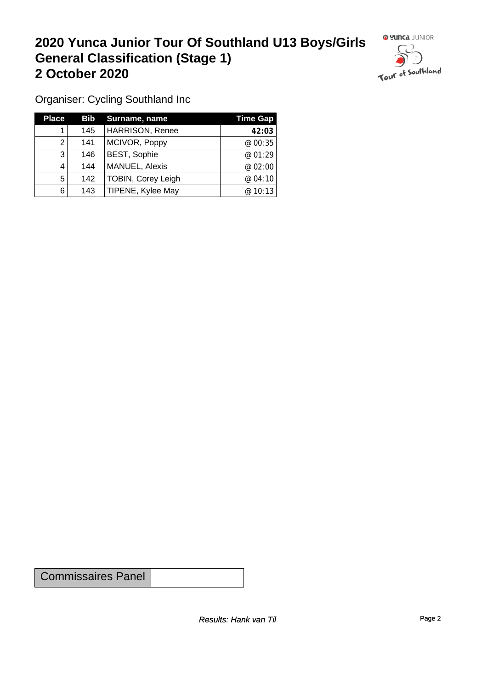## **2020 Yunca Junior Tour Of Southland U13 Boys/Girls General Classification (Stage 1)**<br>
2 October 2020 **2 October 2020**



Organiser: Cycling Southland Inc

| <b>Place</b> |     | <b>Bib</b> Surname, name  | <b>Time Gap</b> |
|--------------|-----|---------------------------|-----------------|
|              | 145 | <b>HARRISON, Renee</b>    | 42:03           |
| 2            | 141 | MCIVOR, Poppy             | @00:35          |
| 3            | 146 | <b>BEST, Sophie</b>       | @01:29          |
| 4            | 144 | MANUEL, Alexis            | @ 02:00         |
| 5            | 142 | <b>TOBIN, Corey Leigh</b> | @04:10          |
| 6            | 143 | TIPENE, Kylee May         | @ 10:13         |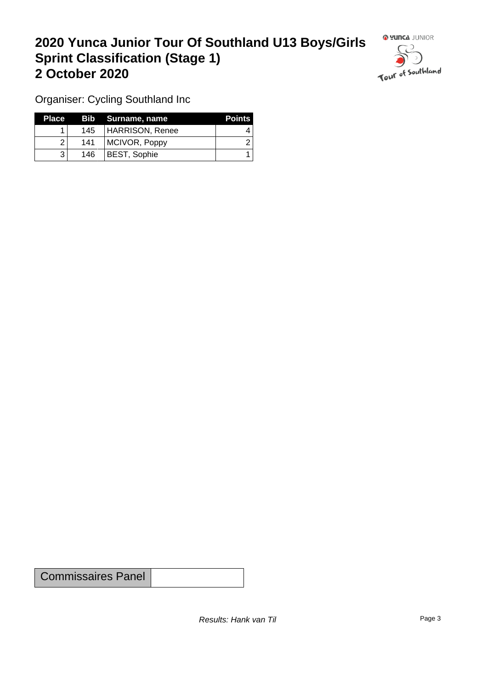### **2020 Yunca Junior Tour Of Southland U13 Boys/Girls Sprint Classification (Stage 1) 2 October 2020**



Organiser: Cycling Southland Inc

| <b>Place</b> |     | Bib Surname, name | <b>Points</b> |
|--------------|-----|-------------------|---------------|
|              | 145 | HARRISON, Renee   |               |
|              | 141 | MCIVOR, Poppy     |               |
| າ            | 146 | BEST, Sophie      |               |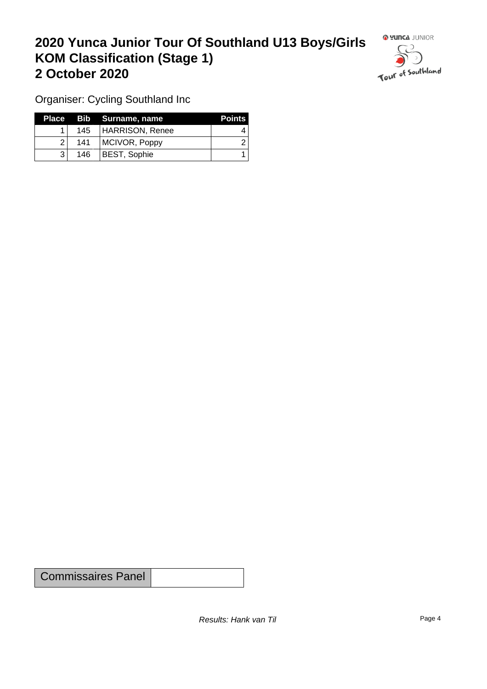### **2020 Yunca Junior Tour Of Southland U13 Boys/Girls KOM Classification (Stage 1) 2 October 2020**



Organiser: Cycling Southland Inc

|                |     | Place Bib Surname, name | <b>Points</b> |
|----------------|-----|-------------------------|---------------|
|                |     | 145   HARRISON, Renee   |               |
| $\overline{2}$ | 141 | MCIVOR, Poppy           |               |
|                | 146 | <b>BEST, Sophie</b>     |               |